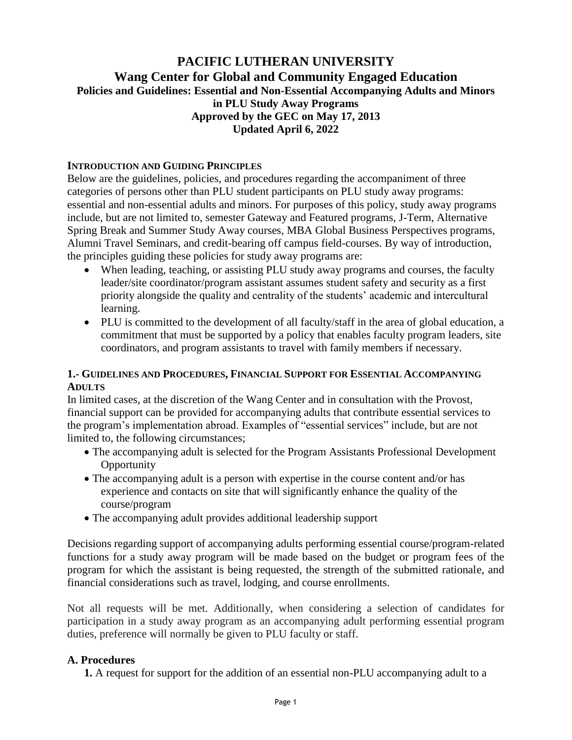# **PACIFIC LUTHERAN UNIVERSITY Wang Center for Global and Community Engaged Education Policies and Guidelines: Essential and Non-Essential Accompanying Adults and Minors in PLU Study Away Programs Approved by the GEC on May 17, 2013 Updated April 6, 2022**

#### **INTRODUCTION AND GUIDING PRINCIPLES**

Below are the guidelines, policies, and procedures regarding the accompaniment of three categories of persons other than PLU student participants on PLU study away programs: essential and non-essential adults and minors. For purposes of this policy, study away programs include, but are not limited to, semester Gateway and Featured programs, J-Term, Alternative Spring Break and Summer Study Away courses, MBA Global Business Perspectives programs, Alumni Travel Seminars, and credit-bearing off campus field-courses. By way of introduction, the principles guiding these policies for study away programs are:

- When leading, teaching, or assisting PLU study away programs and courses, the faculty leader/site coordinator/program assistant assumes student safety and security as a first priority alongside the quality and centrality of the students' academic and intercultural learning.
- PLU is committed to the development of all faculty/staff in the area of global education, a commitment that must be supported by a policy that enables faculty program leaders, site coordinators, and program assistants to travel with family members if necessary.

### **1.- GUIDELINES AND PROCEDURES, FINANCIAL SUPPORT FOR ESSENTIAL ACCOMPANYING ADULTS**

In limited cases, at the discretion of the Wang Center and in consultation with the Provost, financial support can be provided for accompanying adults that contribute essential services to the program's implementation abroad. Examples of "essential services" include, but are not limited to, the following circumstances;

- The accompanying adult is selected for the Program Assistants Professional Development **Opportunity**
- The accompanying adult is a person with expertise in the course content and/or has experience and contacts on site that will significantly enhance the quality of the course/program
- The accompanying adult provides additional leadership support

Decisions regarding support of accompanying adults performing essential course/program-related functions for a study away program will be made based on the budget or program fees of the program for which the assistant is being requested, the strength of the submitted rationale, and financial considerations such as travel, lodging, and course enrollments.

Not all requests will be met. Additionally, when considering a selection of candidates for participation in a study away program as an accompanying adult performing essential program duties, preference will normally be given to PLU faculty or staff.

### **A. Procedures**

**1.** A request for support for the addition of an essential non-PLU accompanying adult to a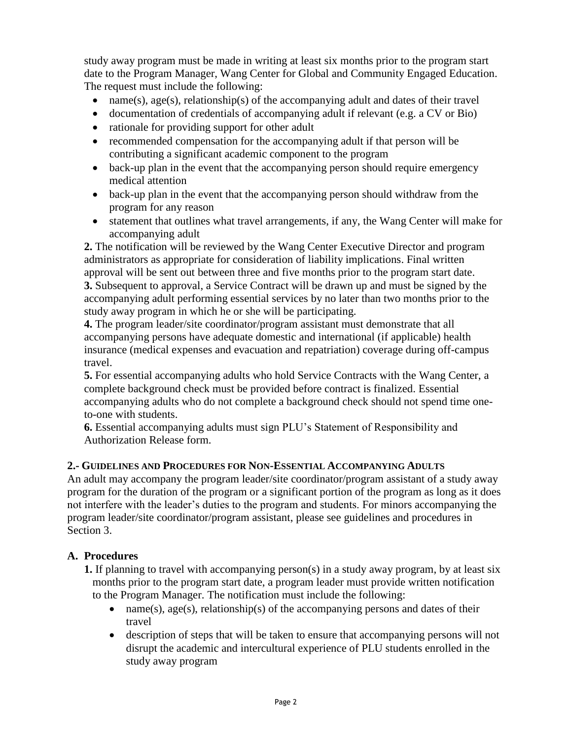study away program must be made in writing at least six months prior to the program start date to the Program Manager, Wang Center for Global and Community Engaged Education. The request must include the following:

- name(s),  $\alpha$ ge(s), relationship(s) of the accompanying adult and dates of their travel
- documentation of credentials of accompanying adult if relevant (e.g. a CV or Bio)
- rationale for providing support for other adult
- recommended compensation for the accompanying adult if that person will be contributing a significant academic component to the program
- back-up plan in the event that the accompanying person should require emergency medical attention
- back-up plan in the event that the accompanying person should withdraw from the program for any reason
- statement that outlines what travel arrangements, if any, the Wang Center will make for accompanying adult

**2.** The notification will be reviewed by the Wang Center Executive Director and program administrators as appropriate for consideration of liability implications. Final written approval will be sent out between three and five months prior to the program start date. **3.** Subsequent to approval, a Service Contract will be drawn up and must be signed by the accompanying adult performing essential services by no later than two months prior to the study away program in which he or she will be participating.

**4.** The program leader/site coordinator/program assistant must demonstrate that all accompanying persons have adequate domestic and international (if applicable) health insurance (medical expenses and evacuation and repatriation) coverage during off-campus travel.

**5.** For essential accompanying adults who hold Service Contracts with the Wang Center, a complete background check must be provided before contract is finalized. Essential accompanying adults who do not complete a background check should not spend time oneto-one with students.

**6.** Essential accompanying adults must sign PLU's Statement of Responsibility and Authorization Release form.

## **2.- GUIDELINES AND PROCEDURES FOR NON-ESSENTIAL ACCOMPANYING ADULTS**

An adult may accompany the program leader/site coordinator/program assistant of a study away program for the duration of the program or a significant portion of the program as long as it does not interfere with the leader's duties to the program and students. For minors accompanying the program leader/site coordinator/program assistant, please see guidelines and procedures in Section 3.

## **A. Procedures**

**1.** If planning to travel with accompanying person(s) in a study away program, by at least six months prior to the program start date, a program leader must provide written notification to the Program Manager. The notification must include the following:

- name(s), age(s), relationship(s) of the accompanying persons and dates of their travel
- description of steps that will be taken to ensure that accompanying persons will not disrupt the academic and intercultural experience of PLU students enrolled in the study away program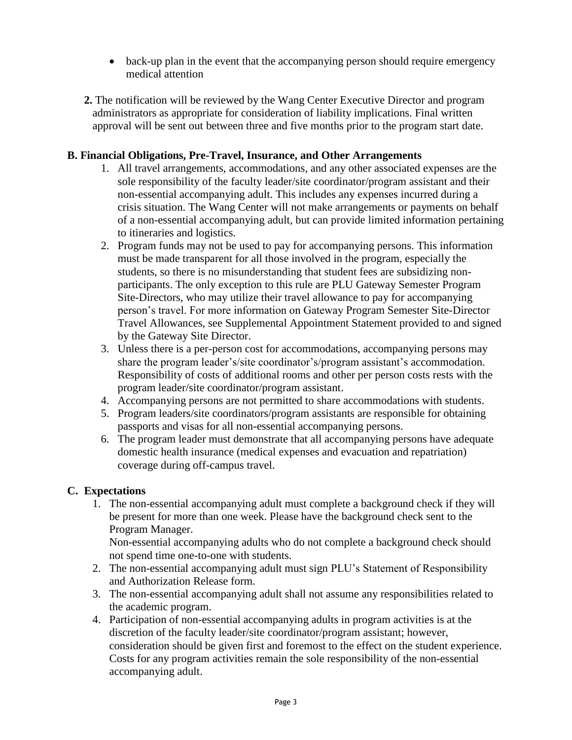- back-up plan in the event that the accompanying person should require emergency medical attention
- **2.** The notification will be reviewed by the Wang Center Executive Director and program administrators as appropriate for consideration of liability implications. Final written approval will be sent out between three and five months prior to the program start date.

# **B. Financial Obligations, Pre-Travel, Insurance, and Other Arrangements**

- 1. All travel arrangements, accommodations, and any other associated expenses are the sole responsibility of the faculty leader/site coordinator/program assistant and their non-essential accompanying adult. This includes any expenses incurred during a crisis situation. The Wang Center will not make arrangements or payments on behalf of a non-essential accompanying adult, but can provide limited information pertaining to itineraries and logistics.
- 2. Program funds may not be used to pay for accompanying persons. This information must be made transparent for all those involved in the program, especially the students, so there is no misunderstanding that student fees are subsidizing nonparticipants. The only exception to this rule are PLU Gateway Semester Program Site-Directors, who may utilize their travel allowance to pay for accompanying person's travel. For more information on Gateway Program Semester Site-Director Travel Allowances, see Supplemental Appointment Statement provided to and signed by the Gateway Site Director.
- 3. Unless there is a per-person cost for accommodations, accompanying persons may share the program leader's/site coordinator's/program assistant's accommodation. Responsibility of costs of additional rooms and other per person costs rests with the program leader/site coordinator/program assistant.
- 4. Accompanying persons are not permitted to share accommodations with students.
- 5. Program leaders/site coordinators/program assistants are responsible for obtaining passports and visas for all non-essential accompanying persons.
- 6. The program leader must demonstrate that all accompanying persons have adequate domestic health insurance (medical expenses and evacuation and repatriation) coverage during off-campus travel.

## **C. Expectations**

1. The non-essential accompanying adult must complete a background check if they will be present for more than one week. Please have the background check sent to the Program Manager.

Non-essential accompanying adults who do not complete a background check should not spend time one-to-one with students.

- 2. The non-essential accompanying adult must sign PLU's Statement of Responsibility and Authorization Release form.
- 3. The non-essential accompanying adult shall not assume any responsibilities related to the academic program.
- 4. Participation of non-essential accompanying adults in program activities is at the discretion of the faculty leader/site coordinator/program assistant; however, consideration should be given first and foremost to the effect on the student experience. Costs for any program activities remain the sole responsibility of the non-essential accompanying adult.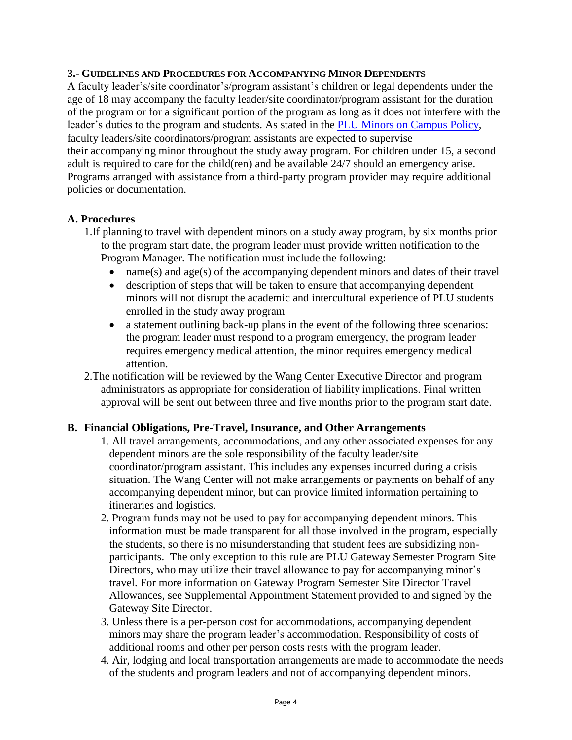#### **3.- GUIDELINES AND PROCEDURES FOR ACCOMPANYING MINOR DEPENDENTS**

A faculty leader's/site coordinator's/program assistant's children or legal dependents under the age of 18 may accompany the faculty leader/site coordinator/program assistant for the duration of the program or for a significant portion of the program as long as it does not interfere with the leader's duties to the program and students. As stated in the [PLU Minors on Campus Policy,](https://www.plu.edu/risk-services/minors-on-campus-policy/) faculty leaders/site coordinators/program assistants are expected to supervise their accompanying minor throughout the study away program. For children under 15, a second adult is required to care for the child(ren) and be available 24/7 should an emergency arise. Programs arranged with assistance from a third-party program provider may require additional policies or documentation.

### **A. Procedures**

- 1.If planning to travel with dependent minors on a study away program, by six months prior to the program start date, the program leader must provide written notification to the Program Manager. The notification must include the following:
	- name(s) and age(s) of the accompanying dependent minors and dates of their travel
	- description of steps that will be taken to ensure that accompanying dependent minors will not disrupt the academic and intercultural experience of PLU students enrolled in the study away program
	- a statement outlining back-up plans in the event of the following three scenarios: the program leader must respond to a program emergency, the program leader requires emergency medical attention, the minor requires emergency medical attention.
- 2.The notification will be reviewed by the Wang Center Executive Director and program administrators as appropriate for consideration of liability implications. Final written approval will be sent out between three and five months prior to the program start date.

### **B. Financial Obligations, Pre-Travel, Insurance, and Other Arrangements**

- 1. All travel arrangements, accommodations, and any other associated expenses for any dependent minors are the sole responsibility of the faculty leader/site coordinator/program assistant. This includes any expenses incurred during a crisis situation. The Wang Center will not make arrangements or payments on behalf of any accompanying dependent minor, but can provide limited information pertaining to itineraries and logistics.
- 2. Program funds may not be used to pay for accompanying dependent minors. This information must be made transparent for all those involved in the program, especially the students, so there is no misunderstanding that student fees are subsidizing nonparticipants. The only exception to this rule are PLU Gateway Semester Program Site Directors, who may utilize their travel allowance to pay for accompanying minor's travel. For more information on Gateway Program Semester Site Director Travel Allowances, see Supplemental Appointment Statement provided to and signed by the Gateway Site Director.
- 3. Unless there is a per-person cost for accommodations, accompanying dependent minors may share the program leader's accommodation. Responsibility of costs of additional rooms and other per person costs rests with the program leader.
- 4. Air, lodging and local transportation arrangements are made to accommodate the needs of the students and program leaders and not of accompanying dependent minors.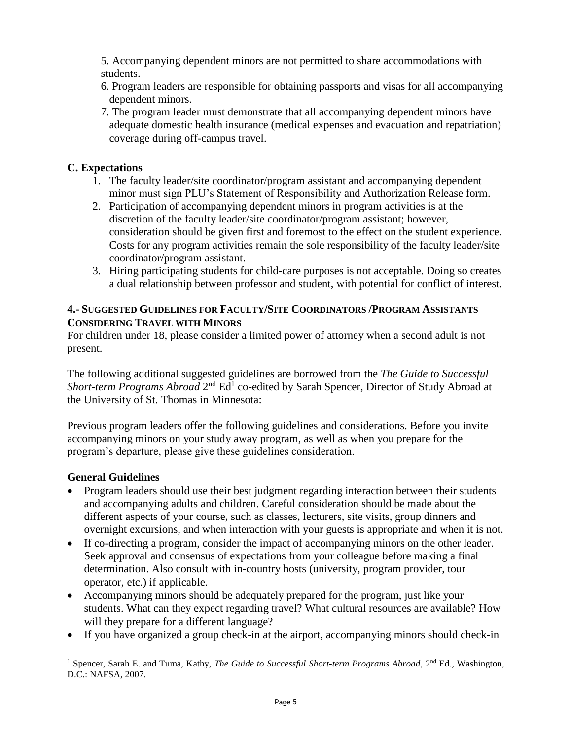5. Accompanying dependent minors are not permitted to share accommodations with students.

- 6. Program leaders are responsible for obtaining passports and visas for all accompanying dependent minors.
- 7. The program leader must demonstrate that all accompanying dependent minors have adequate domestic health insurance (medical expenses and evacuation and repatriation) coverage during off-campus travel.

# **C. Expectations**

- 1. The faculty leader/site coordinator/program assistant and accompanying dependent minor must sign PLU's Statement of Responsibility and Authorization Release form.
- 2. Participation of accompanying dependent minors in program activities is at the discretion of the faculty leader/site coordinator/program assistant; however, consideration should be given first and foremost to the effect on the student experience. Costs for any program activities remain the sole responsibility of the faculty leader/site coordinator/program assistant.
- 3. Hiring participating students for child-care purposes is not acceptable. Doing so creates a dual relationship between professor and student, with potential for conflict of interest.

### **4.- SUGGESTED GUIDELINES FOR FACULTY/SITE COORDINATORS /PROGRAM ASSISTANTS CONSIDERING TRAVEL WITH MINORS**

For children under 18, please consider a limited power of attorney when a second adult is not present.

The following additional suggested guidelines are borrowed from the *The Guide to Successful*  Short-term Programs Abroad 2<sup>nd</sup> Ed<sup>1</sup> co-edited by Sarah Spencer, Director of Study Abroad at the University of St. Thomas in Minnesota:

Previous program leaders offer the following guidelines and considerations. Before you invite accompanying minors on your study away program, as well as when you prepare for the program's departure, please give these guidelines consideration.

# **General Guidelines**

- Program leaders should use their best judgment regarding interaction between their students and accompanying adults and children. Careful consideration should be made about the different aspects of your course, such as classes, lecturers, site visits, group dinners and overnight excursions, and when interaction with your guests is appropriate and when it is not.
- If co-directing a program, consider the impact of accompanying minors on the other leader. Seek approval and consensus of expectations from your colleague before making a final determination. Also consult with in-country hosts (university, program provider, tour operator, etc.) if applicable.
- Accompanying minors should be adequately prepared for the program, just like your students. What can they expect regarding travel? What cultural resources are available? How will they prepare for a different language?
- If you have organized a group check-in at the airport, accompanying minors should check-in

 $\overline{a}$ <sup>1</sup> Spencer, Sarah E. and Tuma, Kathy, *The Guide to Successful Short-term Programs Abroad*, 2<sup>nd</sup> Ed., Washington, D.C.: NAFSA, 2007.